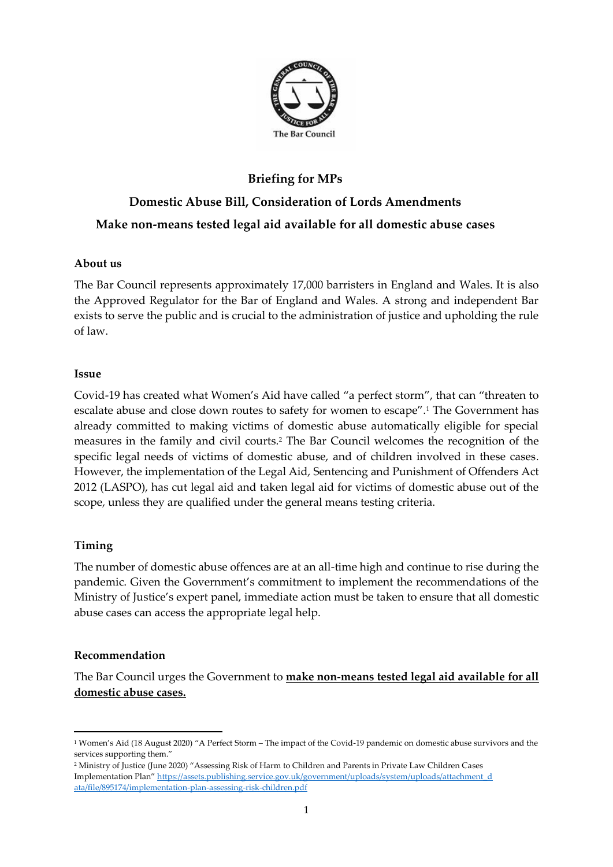

# **Briefing for MPs Domestic Abuse Bill, Consideration of Lords Amendments Make non-means tested legal aid available for all domestic abuse cases**

## **About us**

The Bar Council represents approximately 17,000 barristers in England and Wales. It is also the Approved Regulator for the Bar of England and Wales. A strong and independent Bar exists to serve the public and is crucial to the administration of justice and upholding the rule of law.

#### **Issue**

Covid-19 has created what Women's Aid have called "a perfect storm", that can "threaten to escalate abuse and close down routes to safety for women to escape".<sup>1</sup> The Government has already committed to making victims of domestic abuse automatically eligible for special measures in the family and civil courts.<sup>2</sup> The Bar Council welcomes the recognition of the specific legal needs of victims of domestic abuse, and of children involved in these cases. However, the implementation of the Legal Aid, Sentencing and Punishment of Offenders Act 2012 (LASPO), has cut legal aid and taken legal aid for victims of domestic abuse out of the scope, unless they are qualified under the general means testing criteria.

### **Timing**

The number of domestic abuse offences are at an all-time high and continue to rise during the pandemic. Given the Government's commitment to implement the recommendations of the Ministry of Justice's expert panel, immediate action must be taken to ensure that all domestic abuse cases can access the appropriate legal help.

### **Recommendation**

The Bar Council urges the Government to **make non-means tested legal aid available for all domestic abuse cases.**

<sup>1</sup> Women's Aid (18 August 2020) "A Perfect Storm – The impact of the Covid-19 pandemic on domestic abuse survivors and the services supporting them."

<sup>2</sup> Ministry of Justice (June 2020) "Assessing Risk of Harm to Children and Parents in Private Law Children Cases Implementation Plan" [https://assets.publishing.service.gov.uk/government/uploads/system/uploads/attachment\\_d](https://assets.publishing.service.gov.uk/government/uploads/system/uploads/attachment_d%20ata/file/895174/implementation-plan-assessing-risk-children.pdf)  [ata/file/895174/implementation-plan-assessing-risk-children.pdf](https://assets.publishing.service.gov.uk/government/uploads/system/uploads/attachment_d%20ata/file/895174/implementation-plan-assessing-risk-children.pdf)